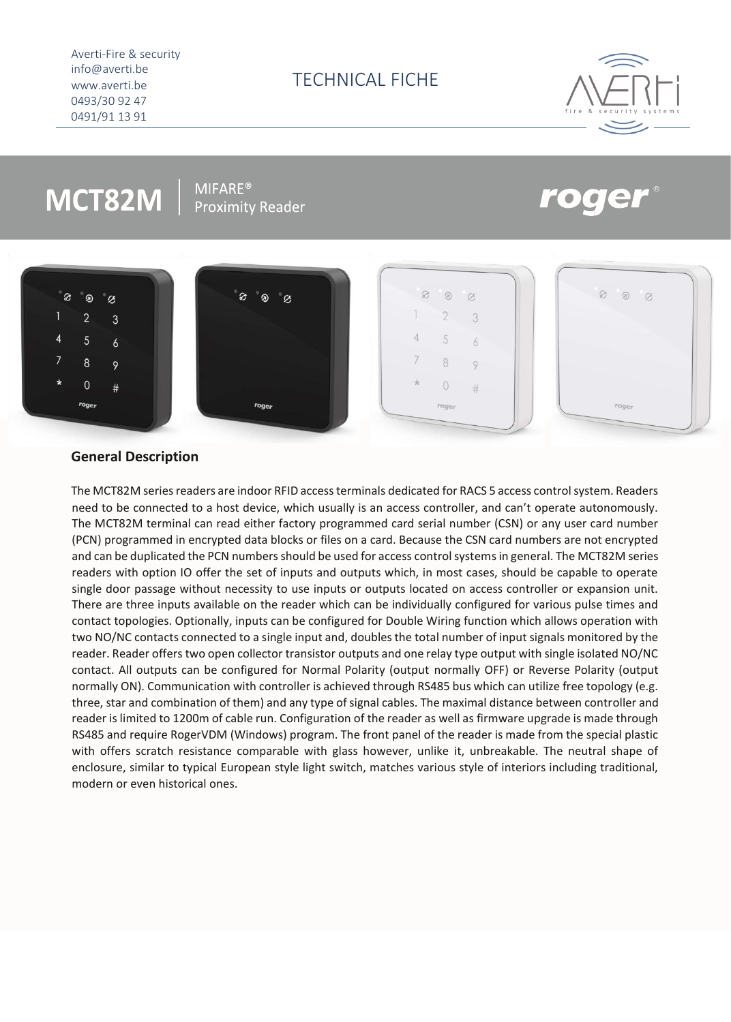Averti-Fire & security info@averti.be www.averti.be 0493/30 92 47 0491/91 13 91



# MCT82M

 $MIFARE<sup>®</sup>$ **Proximity Reader** 







| $\mathcal{C}$ | $\circledR$    | $\varnothing$ |  |
|---------------|----------------|---------------|--|
| ì             | $\overline{2}$ | 3             |  |
| 4             | 5              | 6             |  |
| 7             | 8              | 9             |  |
| $\star$       | $\circ$        | $\#$          |  |
|               | roger          |               |  |



## **General Description**

The MCT82M series readers are indoor RFID access terminals dedicated for RACS 5 access control system. Readers need to be connected to a host device, which usually is an access controller, and can't operate autonomously. The MCT82M terminal can read either factory programmed card serial number (CSN) or any user card number (PCN) programmed in encrypted data blocks or files on a card. Because the CSN card numbers are not encrypted and can be duplicated the PCN numbers should be used for access control systems in general. The MCT82M series readers with option IO offer the set of inputs and outputs which, in most cases, should be capable to operate single door passage without necessity to use inputs or outputs located on access controller or expansion unit. There are three inputs available on the reader which can be individually configured for various pulse times and contact topologies. Optionally, inputs can be configured for Double Wiring function which allows operation with two NO/NC contacts connected to a single input and, doubles the total number of input signals monitored by the reader. Reader offers two open collector transistor outputs and one relay type output with single isolated NO/NC contact. All outputs can be configured for Normal Polarity (output normally OFF) or Reverse Polarity (output normally ON). Communication with controller is achieved through RS485 bus which can utilize free topology (e.g. three, star and combination of them) and any type of signal cables. The maximal distance between controller and reader is limited to 1200m of cable run. Configuration of the reader as well as firmware upgrade is made through RS485 and require RogerVDM (Windows) program. The front panel of the reader is made from the special plastic with offers scratch resistance comparable with glass however, unlike it, unbreakable. The neutral shape of enclosure, similar to typical European style light switch, matches various style of interiors including traditional, modern or even historical ones.